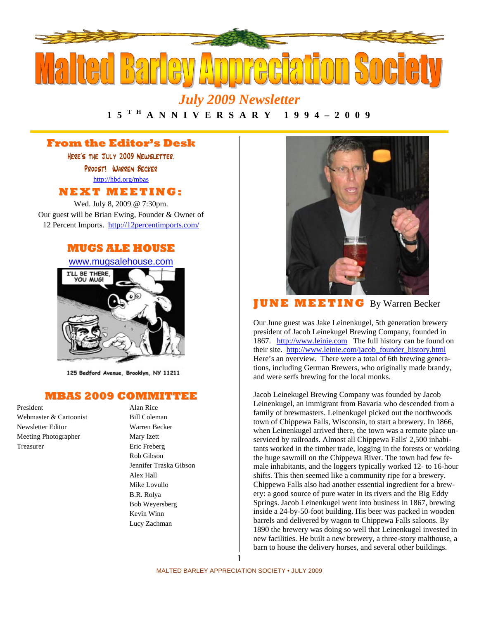

*July 2009 Newsletter* 

## **1 5 T H A N N I V E R S A R Y 1 9 9 4 – 2 0 0 9**

## **From the Editor's Desk**

Here's the July 2009 Newsletter. Proost! Warren Becker http://hbd.org/mbas **NEXT MEETI NG:**

Wed. July 8, 2009 @ 7:30pm. Our guest will be Brian Ewing, Founder & Owner of 12 Percent Imports. http://12percentimports.com/

### **MUGS ALE HOUSE**





125 Bedford Avenue, Brooklyn, NY 11211

### **MBAS 2009 COMMITTEE**

President Alan Rice Webmaster & Cartoonist Bill Coleman Newsletter Editor Warren Becker Meeting Photographer Mary Izett Treasurer Eric Freberg

Rob Gibson Jennifer Traska Gibson Alex Hall Mike Lovullo B.R. Rolya Bob Weyersberg Kevin Winn Lucy Zachman



**J U NE MEETI NG** By Warren Becker

Our June guest was Jake Leinenkugel, 5th generation brewery president of Jacob Leinekugel Brewing Company, founded in 1867. http://www.leinie.com The full history can be found on their site. http://www.leinie.com/jacob\_founder\_history.html Here's an overview. There were a total of 6th brewing generations, including German Brewers, who originally made brandy, and were serfs brewing for the local monks.

Jacob Leinekugel Brewing Company was founded by Jacob Leinenkugel, an immigrant from Bavaria who descended from a family of brewmasters. Leinenkugel picked out the northwoods town of Chippewa Falls, Wisconsin, to start a brewery. In 1866, when Leinenkugel arrived there, the town was a remote place unserviced by railroads. Almost all Chippewa Falls' 2,500 inhabitants worked in the timber trade, logging in the forests or working the huge sawmill on the Chippewa River. The town had few female inhabitants, and the loggers typically worked 12- to 16-hour shifts. This then seemed like a community ripe for a brewery. Chippewa Falls also had another essential ingredient for a brewery: a good source of pure water in its rivers and the Big Eddy Springs. Jacob Leinenkugel went into business in 1867, brewing inside a 24-by-50-foot building. His beer was packed in wooden barrels and delivered by wagon to Chippewa Falls saloons. By 1890 the brewery was doing so well that Leinenkugel invested in new facilities. He built a new brewery, a three-story malthouse, a barn to house the delivery horses, and several other buildings.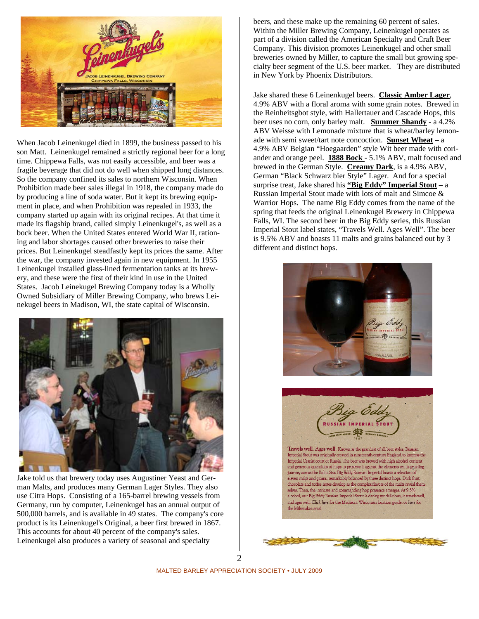

When Jacob Leinenkugel died in 1899, the business passed to his son Matt. Leinenkugel remained a strictly regional beer for a long time. Chippewa Falls, was not easily accessible, and beer was a fragile beverage that did not do well when shipped long distances. So the company confined its sales to northern Wisconsin. When Prohibition made beer sales illegal in 1918, the company made do by producing a line of soda water. But it kept its brewing equipment in place, and when Prohibition was repealed in 1933, the company started up again with its original recipes. At that time it made its flagship brand, called simply Leinenkugel's, as well as a bock beer. When the United States entered World War II, rationing and labor shortages caused other breweries to raise their prices. But Leinenkugel steadfastly kept its prices the same. After the war, the company invested again in new equipment. In 1955 Leinenkugel installed glass-lined fermentation tanks at its brewery, and these were the first of their kind in use in the United States. Jacob Leinekugel Brewing Company today is a Wholly Owned Subsidiary of Miller Brewing Company, who brews Leinekugel beers in Madison, WI, the state capital of Wisconsin.



Jake told us that brewery today uses Augustiner Yeast and German Malts, and produces many German Lager Styles. They also use Citra Hops. Consisting of a 165-barrel brewing vessels from Germany, run by computer, Leinenkugel has an annual output of 500,000 barrels, and is available in 49 states. The company's core product is its Leinenkugel's Original, a beer first brewed in 1867. This accounts for about 40 percent of the company's sales. Leinenkugel also produces a variety of seasonal and specialty

beers, and these make up the remaining 60 percent of sales. Within the Miller Brewing Company, Leinenkugel operates as part of a division called the American Specialty and Craft Beer Company. This division promotes Leinenkugel and other small breweries owned by Miller, to capture the small but growing specialty beer segment of the U.S. beer market. They are distributed in New York by Phoenix Distributors.

Jake shared these 6 Leinenkugel beers. **Classic Amber Lager**, 4.9% ABV with a floral aroma with some grain notes. Brewed in the Reinheitsgbot style, with Hallertauer and Cascade Hops, this beer uses no corn, only barley malt. **Summer Shandy** - a 4.2% ABV Weisse with Lemonade mixture that is wheat/barley lemonade with semi sweet/tart note concoction. **Sunset Wheat** – a 4.9% ABV Belgian "Hoegaarden" style Wit beer made with coriander and orange peel. **1888 Bock** - 5.1% ABV, malt focused and brewed in the German Style. **Creamy Dark**, is a 4.9% ABV, German "Black Schwarz bier Style" Lager. And for a special surprise treat, Jake shared his **"Big Eddy" Imperial Stout** – a Russian Imperial Stout made with lots of malt and Simcoe & Warrior Hops. The name Big Eddy comes from the name of the spring that feeds the original Leinenkugel Brewery in Chippewa Falls, WI. The second beer in the Big Eddy series, this Russian Imperial Stout label states, "Travels Well. Ages Well". The beer is 9.5% ABV and boasts 11 malts and grains balanced out by 3 different and distinct hops.



Travels well. Ages well. Known as the grandest of all beer styles, Russian Imperial Stout was originally created in nineteenth century England to impress the Imperial Czarist court of Russia. The beer was brewed with high alcohol content and generous quantities of hops to preserve it against the elements on its grueling journey across the Baltic Sea. Big Eddy Russian Imperial boasts a selection of eleven malts and grains, remarkably balanced by three distinct hops. Dark fruit, chocolate and toffee notes develop as the complex flavors of the malts reveal themselves. Then, the intricate and commanding hop presence emerges. At 9.5% alcohol, our Big Eddy Russian Imperial Stout is daring yet delicious; it travels well, and ages well. Click here for the Madison, Wisconsin location guide, or here for the Milwaukee area!

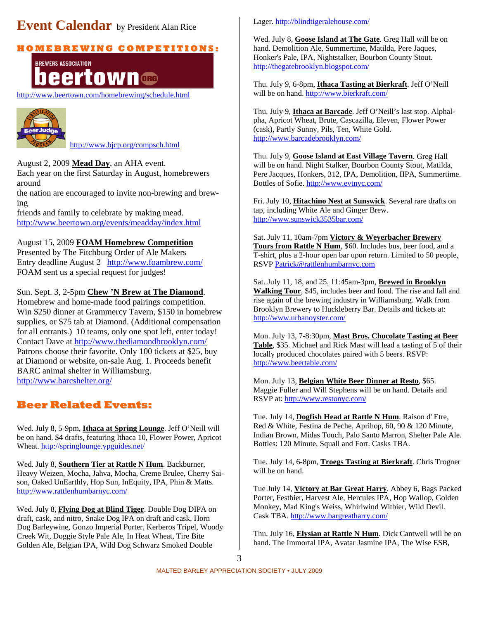# **Event Calendar** by President Alan Rice

## **H O M E B R E WI N G C O M P E TI TI O N S:**

## **BREWERS ASSOCIATION** town eer

http://www.beertown.com/homebrewing/schedule.html



http://www.bjcp.org/compsch.html

August 2, 2009 **Mead Day**, an AHA event. Each year on the first Saturday in August, homebrewers

around

the nation are encouraged to invite non-brewing and brewing

friends and family to celebrate by making mead. http://www.beertown.org/events/meadday/index.html

August 15, 2009 **FOAM Homebrew Competition** Presented by The Fitchburg Order of Ale Makers Entry deadline August 2 http://www.foambrew.com/

FOAM sent us a special request for judges!

### Sun. Sept. 3, 2-5pm **Chew 'N Brew at The Diamond**.

Homebrew and home-made food pairings competition. Win \$250 dinner at Grammercy Tavern, \$150 in homebrew supplies, or \$75 tab at Diamond. (Additional compensation for all entrants.) 10 teams, only one spot left, enter today! Contact Dave at http://www.thediamondbrooklyn.com/ Patrons choose their favorite. Only 100 tickets at \$25, buy at Diamond or website, on-sale Aug. 1. Proceeds benefit BARC animal shelter in Williamsburg. http://www.barcshelter.org/

## **Beer Related Events:**

Wed. July 8, 5-9pm, **Ithaca at Spring Lounge**. Jeff O'Neill will be on hand. \$4 drafts, featuring Ithaca 10, Flower Power, Apricot Wheat. http://springlounge.ypguides.net/

Wed. July 8, **Southern Tier at Rattle N Hum**. Backburner, Heavy Weizen, Mocha, Jahva, Mocha, Creme Brulee, Cherry Saison, Oaked UnEarthly, Hop Sun, InEquity, IPA, Phin & Matts. http://www.rattlenhumbarnyc.com/

Wed. July 8, **Flying Dog at Blind Tiger**. Double Dog DIPA on draft, cask, and nitro, Snake Dog IPA on draft and cask, Horn Dog Barleywine, Gonzo Imperial Porter, Kerberos Tripel, Woody Creek Wit, Doggie Style Pale Ale, In Heat Wheat, Tire Bite Golden Ale, Belgian IPA, Wild Dog Schwarz Smoked Double

#### Lager. http://blindtigeralehouse.com/

Wed. July 8, **Goose Island at The Gate**. Greg Hall will be on hand. Demolition Ale, Summertime, Matilda, Pere Jaques, Honker's Pale, IPA, Nightstalker, Bourbon County Stout. http://thegatebrooklyn.blogspot.com/

Thu. July 9, 6-8pm, **Ithaca Tasting at Bierkraft**. Jeff O'Neill will be on hand. http://www.bierkraft.com/

Thu. July 9, **Ithaca at Barcade**. Jeff O'Neill's last stop. Alphalpha, Apricot Wheat, Brute, Cascazilla, Eleven, Flower Power (cask), Partly Sunny, Pils, Ten, White Gold. http://www.barcadebrooklyn.com/

Thu. July 9, **Goose Island at East Village Tavern**. Greg Hall will be on hand. Night Stalker, Bourbon County Stout, Matilda, Pere Jacques, Honkers, 312, IPA, Demolition, IIPA, Summertime. Bottles of Sofie. http://www.evtnyc.com/

Fri. July 10, **Hitachino Nest at Sunswick**. Several rare drafts on tap, including White Ale and Ginger Brew. http://www.sunswick3535bar.com/

Sat. July 11, 10am-7pm **Victory & Weyerbacher Brewery Tours from Rattle N Hum**, \$60. Includes bus, beer food, and a T-shirt, plus a 2-hour open bar upon return. Limited to 50 people, RSVP Patrick@rattlenhumbarnyc.com

Sat. July 11, 18, and 25, 11:45am-3pm, **Brewed in Brooklyn Walking Tour**, \$45, includes beer and food. The rise and fall and rise again of the brewing industry in Williamsburg. Walk from Brooklyn Brewery to Huckleberry Bar. Details and tickets at: http://www.urbanoyster.com/

Mon. July 13, 7-8:30pm, **Mast Bros. Chocolate Tasting at Beer Table**, \$35. Michael and Rick Mast will lead a tasting of 5 of their locally produced chocolates paired with 5 beers. RSVP: http://www.beertable.com/

Mon. July 13, **Belgian White Beer Dinner at Resto**, \$65. Maggie Fuller and Will Stephens will be on hand. Details and RSVP at: http://www.restonyc.com/

Tue. July 14, **Dogfish Head at Rattle N Hum**. Raison d' Etre, Red & White, Festina de Peche, Aprihop, 60, 90 & 120 Minute, Indian Brown, Midas Touch, Palo Santo Marron, Shelter Pale Ale. Bottles: 120 Minute, Squall and Fort. Casks TBA.

Tue. July 14, 6-8pm, **Troegs Tasting at Bierkraft**. Chris Trogner will be on hand.

Tue July 14, **Victory at Bar Great Harry**. Abbey 6, Bags Packed Porter, Festbier, Harvest Ale, Hercules IPA, Hop Wallop, Golden Monkey, Mad King's Weiss, Whirlwind Witbier, Wild Devil. Cask TBA. http://www.bargreatharry.com/

Thu. July 16, **Elysian at Rattle N Hum**. Dick Cantwell will be on hand. The Immortal IPA, Avatar Jasmine IPA, The Wise ESB,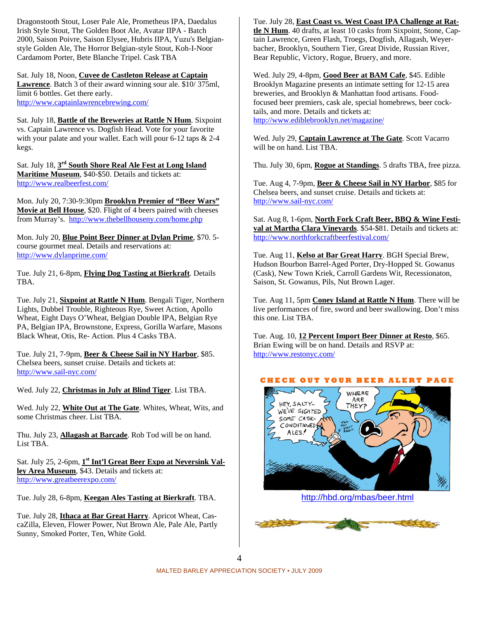Dragonstooth Stout, Loser Pale Ale, Prometheus IPA, Daedalus Irish Style Stout, The Golden Boot Ale, Avatar IIPA - Batch 2000, Saison Poivre, Saison Elysee, Hubris IIPA, Yuzu's Belgianstyle Golden Ale, The Horror Belgian-style Stout, Koh-I-Noor Cardamom Porter, Bete Blanche Tripel. Cask TBA

Sat. July 18, Noon, **Cuvee de Castleton Release at Captain Lawrence**. Batch 3 of their award winning sour ale. \$10/ 375ml, limit 6 bottles. Get there early. http://www.captainlawrencebrewing.com/

Sat. July 18, **Battle of the Breweries at Rattle N Hum**. Sixpoint vs. Captain Lawrence vs. Dogfish Head. Vote for your favorite with your palate and your wallet. Each will pour 6-12 taps & 2-4 kegs.

Sat. July 18, **3rd South Shore Real Ale Fest at Long Island Maritime Museum**, \$40-\$50. Details and tickets at: http://www.realbeerfest.com/

Mon. July 20, 7:30-9:30pm **Brooklyn Premier of "Beer Wars" Movie at Bell House**, \$20. Flight of 4 beers paired with cheeses from Murray's. http://www.thebellhouseny.com/home.php

Mon. July 20, **Blue Point Beer Dinner at Dylan Prime**, \$70. 5 course gourmet meal. Details and reservations at: http://www.dylanprime.com/

Tue. July 21, 6-8pm, **Flying Dog Tasting at Bierkraft**. Details TBA.

Tue. July 21, **Sixpoint at Rattle N Hum**. Bengali Tiger, Northern Lights, Dubbel Trouble, Righteous Rye, Sweet Action, Apollo Wheat, Eight Days O'Wheat, Belgian Double IPA, Belgian Rye PA, Belgian IPA, Brownstone, Express, Gorilla Warfare, Masons Black Wheat, Otis, Re- Action. Plus 4 Casks TBA.

Tue. July 21, 7-9pm, **Beer & Cheese Sail in NY Harbor**, \$85. Chelsea beers, sunset cruise. Details and tickets at: http://www.sail-nyc.com/

Wed. July 22, **Christmas in July at Blind Tiger**. List TBA.

Wed. July 22, **White Out at The Gate**. Whites, Wheat, Wits, and some Christmas cheer. List TBA.

Thu. July 23, **Allagash at Barcade**. Rob Tod will be on hand. List TBA.

Sat. July 25, 2-6pm, **1st Int'l Great Beer Expo at Neversink Valley Area Museum**, \$43. Details and tickets at: http://www.greatbeerexpo.com/

Tue. July 28, 6-8pm, **Keegan Ales Tasting at Bierkraft**. TBA.

Tue. July 28, **Ithaca at Bar Great Harry**. Apricot Wheat, CascaZilla, Eleven, Flower Power, Nut Brown Ale, Pale Ale, Partly Sunny, Smoked Porter, Ten, White Gold.

Tue. July 28, **East Coast vs. West Coast IPA Challenge at Rattle N Hum**. 40 drafts, at least 10 casks from Sixpoint, Stone, Captain Lawrence, Green Flash, Troegs, Dogfish, Allagash, Weyerbacher, Brooklyn, Southern Tier, Great Divide, Russian River, Bear Republic, Victory, Rogue, Bruery, and more.

Wed. July 29, 4-8pm, **Good Beer at BAM Cafe**, \$45. Edible Brooklyn Magazine presents an intimate setting for 12-15 area breweries, and Brooklyn & Manhattan food artisans. Foodfocused beer premiers, cask ale, special homebrews, beer cocktails, and more. Details and tickets at: http://www.ediblebrooklyn.net/magazine/

Wed. July 29, **Captain Lawrence at The Gate**. Scott Vacarro will be on hand. List TBA.

Thu. July 30, 6pm, **Rogue at Standings**. 5 drafts TBA, free pizza.

Tue. Aug 4, 7-9pm, **Beer & Cheese Sail in NY Harbor**, \$85 for Chelsea beers, and sunset cruise. Details and tickets at: http://www.sail-nyc.com/

Sat. Aug 8, 1-6pm, **North Fork Craft Beer, BBQ & Wine Festival at Martha Clara Vineyards**. \$54-\$81. Details and tickets at: http://www.northforkcraftbeerfestival.com/

Tue. Aug 11, **Kelso at Bar Great Harry**. BGH Special Brew, Hudson Bourbon Barrel-Aged Porter, Dry-Hopped St. Gowanus (Cask), New Town Kriek, Carroll Gardens Wit, Recessionaton, Saison, St. Gowanus, Pils, Nut Brown Lager.

Tue. Aug 11, 5pm **Coney Island at Rattle N Hum**. There will be live performances of fire, sword and beer swallowing. Don't miss this one. List TBA.

Tue. Aug. 10, **12 Percent Import Beer Dinner at Resto**, \$65. Brian Ewing will be on hand. Details and RSVP at: http://www.restonyc.com/





http://hbd.org/mbas/beer.html